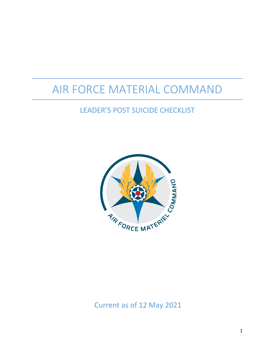# AIR FORCE MATERIAL COMMAND

# LEADER'S POST SUICIDE CHECKLIST



Current as of 12 May 2021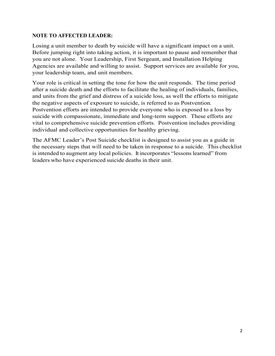#### **NOTE TO AFFECTED LEADER:**

Losing a unit member to death by suicide will have a significant impact on a unit. Before jumping right into taking action, it is important to pause and remember that you are not alone. Your Leadership, First Sergeant, and Installation Helping Agencies are available and willing to assist. Support services are available for you, your leadership team, and unit members.

Your role is critical in setting the tone for how the unit responds. The time period after a suicide death and the efforts to facilitate the healing of individuals, families, and units from the grief and distress of a suicide loss, as well the efforts to mitigate the negative aspects of exposure to suicide, is referred to as Postvention. Postvention efforts are intended to provide everyone who is exposed to a loss by suicide with compassionate, immediate and long-term support. These efforts are vital to comprehensive suicide prevention efforts. Postvention includes providing individual and collective opportunities for healthy grieving.

The AFMC Leader's Post Suicide checklist is designed to assist you as a guide in the necessary steps that will need to be taken in response to a suicide. This checklist is intended to augment any local policies. It incorporates "lessons learned" from leaders who have experienced suicide deaths in their unit.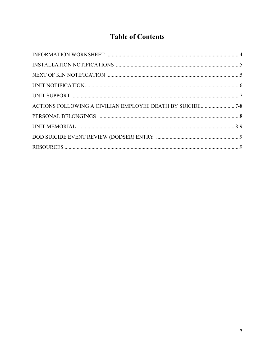# **Table of Contents**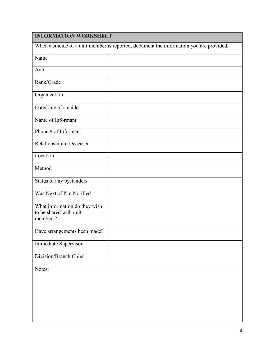### **INFORMATION WORKSHEET**

|                                                                     | When a suicide of a unit member is reported, document the information you are provided. |
|---------------------------------------------------------------------|-----------------------------------------------------------------------------------------|
| Name                                                                |                                                                                         |
| Age                                                                 |                                                                                         |
| Rank/Grade                                                          |                                                                                         |
| Organization                                                        |                                                                                         |
| Date/time of suicide                                                |                                                                                         |
| Name of Informant                                                   |                                                                                         |
| Phone # of Informant                                                |                                                                                         |
| Relationship to Deceased                                            |                                                                                         |
| Location                                                            |                                                                                         |
| Method                                                              |                                                                                         |
| Status of any bystanders                                            |                                                                                         |
| Was Next of Kin Notified                                            |                                                                                         |
| What information do they wish<br>to be shared with unit<br>members? |                                                                                         |
| Have arrangements been made?                                        |                                                                                         |
| Immediate Supervisor                                                |                                                                                         |
| Division/Branch Chief                                               |                                                                                         |
| Notes:                                                              |                                                                                         |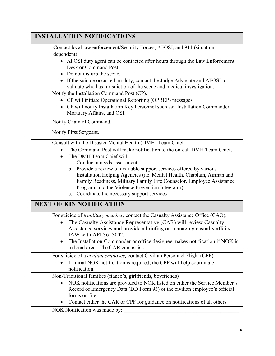| <b>INSTALLATION NOTIFICATIONS</b>                                                                                                                                                                                                                                                                                                                                                                                                                                                                                                |
|----------------------------------------------------------------------------------------------------------------------------------------------------------------------------------------------------------------------------------------------------------------------------------------------------------------------------------------------------------------------------------------------------------------------------------------------------------------------------------------------------------------------------------|
| Contact local law enforcement/Security Forces, AFOSI, and 911 (situation<br>dependent).                                                                                                                                                                                                                                                                                                                                                                                                                                          |
| AFOSI duty agent can be contacted after hours through the Law Enforcement<br>Desk or Command Post.<br>Do not disturb the scene.                                                                                                                                                                                                                                                                                                                                                                                                  |
| • If the suicide occurred on duty, contact the Judge Advocate and AFOSI to<br>validate who has jurisdiction of the scene and medical investigation.                                                                                                                                                                                                                                                                                                                                                                              |
| Notify the Installation Command Post (CP).<br>• CP will initiate Operational Reporting (OPREP) messages.<br>• CP will notify Installation Key Personnel such as: Installation Commander,<br>Mortuary Affairs, and OSI.                                                                                                                                                                                                                                                                                                           |
| Notify Chain of Command.                                                                                                                                                                                                                                                                                                                                                                                                                                                                                                         |
| Notify First Sergeant.                                                                                                                                                                                                                                                                                                                                                                                                                                                                                                           |
| Consult with the Disaster Mental Health (DMH) Team Chief.<br>The Command Post will make notification to the on-call DMH Team Chief.<br>The DMH Team Chief will:<br>a. Conduct a needs assessment<br>b. Provide a review of available support services offered by various<br>Installation Helping Agencies (i.e. Mental Health, Chaplain, Airman and<br>Family Readiness, Military Family Life Counselor, Employee Assistance<br>Program, and the Violence Prevention Integrator)<br>c. Coordinate the necessary support services |
| <b>NEXT OF KIN NOTIFICATION</b>                                                                                                                                                                                                                                                                                                                                                                                                                                                                                                  |
| For suicide of a <i>military member</i> , contact the Casualty Assistance Office (CAO).<br>The Casualty Assistance Representative (CAR) will review Casualty<br>Assistance services and provide a briefing on managing casualty affairs<br>IAW with AFI 36-3002.<br>The Installation Commander or office designee makes notification if NOK is<br>in local area. The CAR can assist.                                                                                                                                             |
| For suicide of a civilian employee, contact Civilian Personnel Flight (CPF)<br>If initial NOK notification is required, the CPF will help coordinate<br>notification.                                                                                                                                                                                                                                                                                                                                                            |
| Non-Traditional families (fiancé's, girlfriends, boyfriends)                                                                                                                                                                                                                                                                                                                                                                                                                                                                     |
| NOK notifications are provided to NOK listed on either the Service Member's<br>Record of Emergency Data (DD Form 93) or the civilian employee's official<br>forms on file.                                                                                                                                                                                                                                                                                                                                                       |
| Contact either the CAR or CPF for guidance on notifications of all others                                                                                                                                                                                                                                                                                                                                                                                                                                                        |
| NOK Notification was made by:                                                                                                                                                                                                                                                                                                                                                                                                                                                                                                    |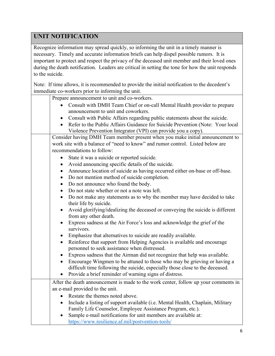# **UNIT NOTIFICATION**

Recognize information may spread quickly, so informing the unit in a timely manner is necessary. Timely and accurate information briefs can help dispel possible rumors. It is important to protect and respect the privacy of the deceased unit member and their loved ones during the death notification. Leaders are critical in setting the tone for how the unit responds to the suicide.

Note: If time allows, it is recommended to provide the initial notification to the decedent's immediate co-workers prior to informing the unit.

| Prepare announcement to unit and co-workers.                                                                         |
|----------------------------------------------------------------------------------------------------------------------|
| Consult with DMH Team Chief or on-call Mental Health provider to prepare                                             |
| announcement to unit and coworkers.                                                                                  |
| Consult with Public Affairs regarding public statements about the suicide.                                           |
| Refer to the Public Affairs Guidance for Suicide Prevention (Note: Your local                                        |
| Violence Prevention Integrator (VPI) can provide you a copy).                                                        |
| Consider having DMH Team member present when you make initial announcement to                                        |
| work site with a balance of "need to know" and rumor control. Listed below are                                       |
| recommendations to follow:                                                                                           |
| State it was a suicide or reported suicide.<br>$\bullet$                                                             |
| Avoid announcing specific details of the suicide.<br>$\bullet$                                                       |
| Announce location of suicide as having occurred either on-base or off-base.<br>$\bullet$                             |
| Do not mention method of suicide completion.<br>$\bullet$                                                            |
| Do not announce who found the body.<br>$\bullet$                                                                     |
| Do not state whether or not a note was left.<br>$\bullet$                                                            |
| Do not make any statements as to why the member may have decided to take<br>$\bullet$                                |
| their life by suicide.                                                                                               |
| Avoid glorifying/idealizing the deceased or conveying the suicide is different<br>$\bullet$<br>from any other death. |
| Express sadness at the Air Force's loss and acknowledge the grief of the<br>$\bullet$                                |
| survivors.                                                                                                           |
| Emphasize that alternatives to suicide are readily available.<br>$\bullet$                                           |
| Reinforce that support from Helping Agencies is available and encourage<br>$\bullet$                                 |
| personnel to seek assistance when distressed.                                                                        |
| Express sadness that the Airman did not recognize that help was available.<br>$\bullet$                              |
| Encourage Wingmen to be attuned to those who may be grieving or having a<br>$\bullet$                                |
| difficult time following the suicide, especially those close to the deceased.                                        |
| Provide a brief reminder of warning signs of distress.<br>$\bullet$                                                  |
| After the death announcement is made to the work center, follow up your comments in                                  |
| an e-mail provided to the unit.                                                                                      |
| Restate the themes noted above.<br>$\bullet$                                                                         |
| Include a listing of support available (i.e. Mental Health, Chaplain, Military<br>$\bullet$                          |
| Family Life Counselor, Employee Assistance Program, etc.).                                                           |
| Sample e-mail notifications for unit members are available at:                                                       |
| https://www.resilience.af.mil/postvention-tools/                                                                     |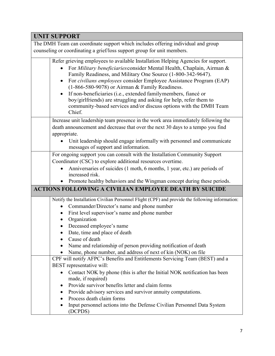## **UNIT SUPPORT**

The DMH Team can coordinate support which includes offering individual and group counseling or coordinating a grief/loss support group for unit members.

| Refer grieving employees to available Installation Helping Agencies for support.<br>For Military beneficiaries consider Mental Health, Chaplain, Airman &<br>Family Readiness, and Military One Source (1-800-342-9647).<br>For civilians employees consider Employee Assistance Program (EAP)<br>$\bullet$<br>(1-866-580-9078) or Airman & Family Readiness.<br>If non-beneficiaries (i.e., extended familymembers, fiancé or<br>$\bullet$<br>boy/girlfriends) are struggling and asking for help, refer them to<br>community-based services and/or discuss options with the DMH Team<br>Chief. |
|--------------------------------------------------------------------------------------------------------------------------------------------------------------------------------------------------------------------------------------------------------------------------------------------------------------------------------------------------------------------------------------------------------------------------------------------------------------------------------------------------------------------------------------------------------------------------------------------------|
| Increase unit leadership team presence in the work area immediately following the                                                                                                                                                                                                                                                                                                                                                                                                                                                                                                                |
| death announcement and decrease that over the next 30 days to a tempo you find                                                                                                                                                                                                                                                                                                                                                                                                                                                                                                                   |
| appropriate.                                                                                                                                                                                                                                                                                                                                                                                                                                                                                                                                                                                     |
| Unit leadership should engage informally with personnel and communicate<br>messages of support and information.                                                                                                                                                                                                                                                                                                                                                                                                                                                                                  |
| For ongoing support you can consult with the Installation Community Support                                                                                                                                                                                                                                                                                                                                                                                                                                                                                                                      |
| Coordinator (CSC) to explore additional resources overtime.                                                                                                                                                                                                                                                                                                                                                                                                                                                                                                                                      |
| Anniversaries of suicides (1 moth, 6 months, 1 year, etc.) are periods of                                                                                                                                                                                                                                                                                                                                                                                                                                                                                                                        |
| increased risk.                                                                                                                                                                                                                                                                                                                                                                                                                                                                                                                                                                                  |
| • Promote healthy behaviors and the Wingman concept during these periods.                                                                                                                                                                                                                                                                                                                                                                                                                                                                                                                        |
|                                                                                                                                                                                                                                                                                                                                                                                                                                                                                                                                                                                                  |
| <b>ACTIONS FOLLOWING A CIVILIAN EMPLOYEE DEATH BY SUICIDE</b>                                                                                                                                                                                                                                                                                                                                                                                                                                                                                                                                    |
| Notify the Installation Civilian Personnel Flight (CPF) and provide the following information:                                                                                                                                                                                                                                                                                                                                                                                                                                                                                                   |
| Commander/Director's name and phone number                                                                                                                                                                                                                                                                                                                                                                                                                                                                                                                                                       |
| First level supervisor's name and phone number                                                                                                                                                                                                                                                                                                                                                                                                                                                                                                                                                   |
| Organization                                                                                                                                                                                                                                                                                                                                                                                                                                                                                                                                                                                     |
| Deceased employee's name<br>٠                                                                                                                                                                                                                                                                                                                                                                                                                                                                                                                                                                    |
| Date, time and place of death<br>٠                                                                                                                                                                                                                                                                                                                                                                                                                                                                                                                                                               |
| Cause of death                                                                                                                                                                                                                                                                                                                                                                                                                                                                                                                                                                                   |
| Name and relationship of person providing notification of death                                                                                                                                                                                                                                                                                                                                                                                                                                                                                                                                  |
| Name, phone number, and address of next of kin (NOK) on file                                                                                                                                                                                                                                                                                                                                                                                                                                                                                                                                     |
| CPF will notify AFPC's Benefits and Entitlements Servicing Team (BEST) and a                                                                                                                                                                                                                                                                                                                                                                                                                                                                                                                     |
| BEST representative will:                                                                                                                                                                                                                                                                                                                                                                                                                                                                                                                                                                        |
| Contact NOK by phone (this is after the Initial NOK notification has been<br>$\bullet$<br>made, if required)                                                                                                                                                                                                                                                                                                                                                                                                                                                                                     |
| Provide survivor benefits letter and claim forms<br>$\bullet$                                                                                                                                                                                                                                                                                                                                                                                                                                                                                                                                    |
| Provide advisory services and survivor annuity computations.<br>٠                                                                                                                                                                                                                                                                                                                                                                                                                                                                                                                                |
| Process death claim forms<br>Input personnel actions into the Defense Civilian Personnel Data System                                                                                                                                                                                                                                                                                                                                                                                                                                                                                             |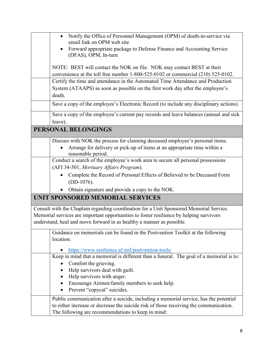|           | Notify the Office of Personnel Management (OPM) of death-in-service via<br>email link on OPM web site |
|-----------|-------------------------------------------------------------------------------------------------------|
|           | Forward appropriate package to Defense Finance and Accounting Service                                 |
|           | (DFAS), OPM, In-turn                                                                                  |
|           |                                                                                                       |
|           | NOTE: BEST will contact the NOK on file. NOK may contact BEST at their                                |
|           | convenience at the toll free number 1-800-525-0102 or commercial (210) 525-0102.                      |
|           | Certify the time and attendance in the Automated Time Attendance and Production                       |
| death.    | System (ATAAPS) as soon as possible on the first work day after the employee's                        |
|           |                                                                                                       |
|           | Save a copy of the employee's Electronic Record (to include any disciplinary actions).                |
|           | Save a copy of the employee's current pay records and leave balances (annual and sick                 |
| leave).   |                                                                                                       |
|           | PERSONAL BELONGINGS                                                                                   |
|           | Discuss with NOK the process for claiming deceased employee's personal items.                         |
|           | Arrange for delivery or pick-up of items at an appropriate time within a<br>reasonable period.        |
|           | Conduct a search of the employee's work area to secure all personal possessions                       |
|           | (AFI 34-501, Mortuary Affairs Program).                                                               |
|           | Complete the Record of Personal Effects of Believed to be Deceased Form<br>$(DD-1076).$               |
|           | Obtain signature and provide a copy to the NOK.                                                       |
|           | UNIT SPONSORED MEMORIAL SERVICES                                                                      |
|           |                                                                                                       |
|           | Consult with the Chaplain regarding coordination for a Unit Sponsored Memorial Service.               |
|           | Memorial services are important opportunities to foster resilience by helping survivors               |
|           | understand, heal and move forward in as healthy a manner as possible.                                 |
|           | Guidance on memorials can be found in the Postvention Toolkit at the following                        |
| location: |                                                                                                       |
|           | https://www.resilience.af.mil/postvention-tools/                                                      |
|           | Keep in mind that a memorial is different than a funeral. The goal of a memorial is to:               |
|           | Comfort the grieving.                                                                                 |
|           | Help survivors deal with guilt.                                                                       |
|           | Help survivors with anger.                                                                            |
|           | Encourage Airmen/family members to seek help.                                                         |
|           | Prevent "copycat" suicides.                                                                           |
|           | Public communication after a suicide, including a memorial service, has the potential                 |
|           | to either increase or decrease the suicide risk of those receiving the communication.                 |
|           | The following are recommendations to keep in mind:                                                    |